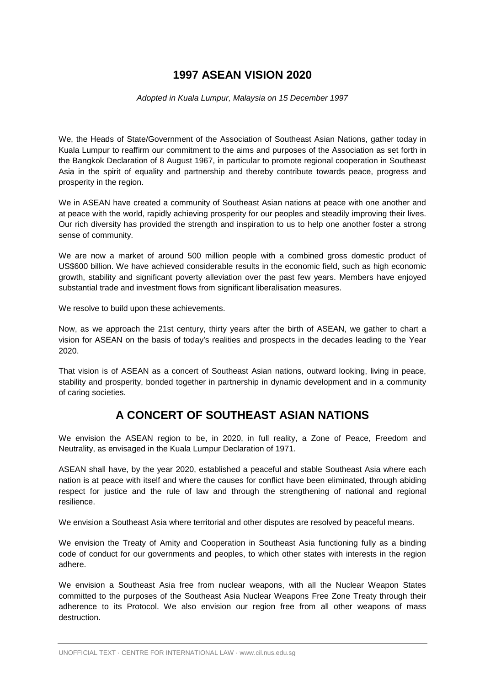# **1997 ASEAN VISION 2020**

#### *Adopted in Kuala Lumpur, Malaysia on 15 December 1997*

We, the Heads of State/Government of the Association of Southeast Asian Nations, gather today in Kuala Lumpur to reaffirm our commitment to the aims and purposes of the Association as set forth in the Bangkok Declaration of 8 August 1967, in particular to promote regional cooperation in Southeast Asia in the spirit of equality and partnership and thereby contribute towards peace, progress and prosperity in the region.

We in ASEAN have created a community of Southeast Asian nations at peace with one another and at peace with the world, rapidly achieving prosperity for our peoples and steadily improving their lives. Our rich diversity has provided the strength and inspiration to us to help one another foster a strong sense of community.

We are now a market of around 500 million people with a combined gross domestic product of US\$600 billion. We have achieved considerable results in the economic field, such as high economic growth, stability and significant poverty alleviation over the past few years. Members have enjoyed substantial trade and investment flows from significant liberalisation measures.

We resolve to build upon these achievements.

Now, as we approach the 21st century, thirty years after the birth of ASEAN, we gather to chart a vision for ASEAN on the basis of today's realities and prospects in the decades leading to the Year 2020.

That vision is of ASEAN as a concert of Southeast Asian nations, outward looking, living in peace, stability and prosperity, bonded together in partnership in dynamic development and in a community of caring societies.

# **A CONCERT OF SOUTHEAST ASIAN NATIONS**

We envision the ASEAN region to be, in 2020, in full reality, a Zone of Peace, Freedom and Neutrality, as envisaged in the Kuala Lumpur Declaration of 1971.

ASEAN shall have, by the year 2020, established a peaceful and stable Southeast Asia where each nation is at peace with itself and where the causes for conflict have been eliminated, through abiding respect for justice and the rule of law and through the strengthening of national and regional resilience.

We envision a Southeast Asia where territorial and other disputes are resolved by peaceful means.

We envision the Treaty of Amity and Cooperation in Southeast Asia functioning fully as a binding code of conduct for our governments and peoples, to which other states with interests in the region adhere.

We envision a Southeast Asia free from nuclear weapons, with all the Nuclear Weapon States committed to the purposes of the Southeast Asia Nuclear Weapons Free Zone Treaty through their adherence to its Protocol. We also envision our region free from all other weapons of mass destruction.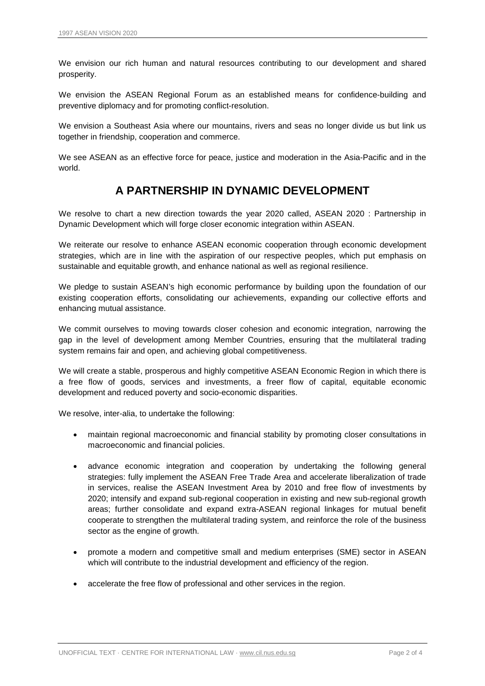We envision our rich human and natural resources contributing to our development and shared prosperity.

We envision the ASEAN Regional Forum as an established means for confidence-building and preventive diplomacy and for promoting conflict-resolution.

We envision a Southeast Asia where our mountains, rivers and seas no longer divide us but link us together in friendship, cooperation and commerce.

We see ASEAN as an effective force for peace, justice and moderation in the Asia-Pacific and in the world.

### **A PARTNERSHIP IN DYNAMIC DEVELOPMENT**

We resolve to chart a new direction towards the year 2020 called, ASEAN 2020 : Partnership in Dynamic Development which will forge closer economic integration within ASEAN.

We reiterate our resolve to enhance ASEAN economic cooperation through economic development strategies, which are in line with the aspiration of our respective peoples, which put emphasis on sustainable and equitable growth, and enhance national as well as regional resilience.

We pledge to sustain ASEAN's high economic performance by building upon the foundation of our existing cooperation efforts, consolidating our achievements, expanding our collective efforts and enhancing mutual assistance.

We commit ourselves to moving towards closer cohesion and economic integration, narrowing the gap in the level of development among Member Countries, ensuring that the multilateral trading system remains fair and open, and achieving global competitiveness.

We will create a stable, prosperous and highly competitive ASEAN Economic Region in which there is a free flow of goods, services and investments, a freer flow of capital, equitable economic development and reduced poverty and socio-economic disparities.

We resolve, inter-alia, to undertake the following:

- maintain regional macroeconomic and financial stability by promoting closer consultations in macroeconomic and financial policies.
- advance economic integration and cooperation by undertaking the following general strategies: fully implement the ASEAN Free Trade Area and accelerate liberalization of trade in services, realise the ASEAN Investment Area by 2010 and free flow of investments by 2020; intensify and expand sub-regional cooperation in existing and new sub-regional growth areas; further consolidate and expand extra-ASEAN regional linkages for mutual benefit cooperate to strengthen the multilateral trading system, and reinforce the role of the business sector as the engine of growth.
- promote a modern and competitive small and medium enterprises (SME) sector in ASEAN which will contribute to the industrial development and efficiency of the region.
- accelerate the free flow of professional and other services in the region.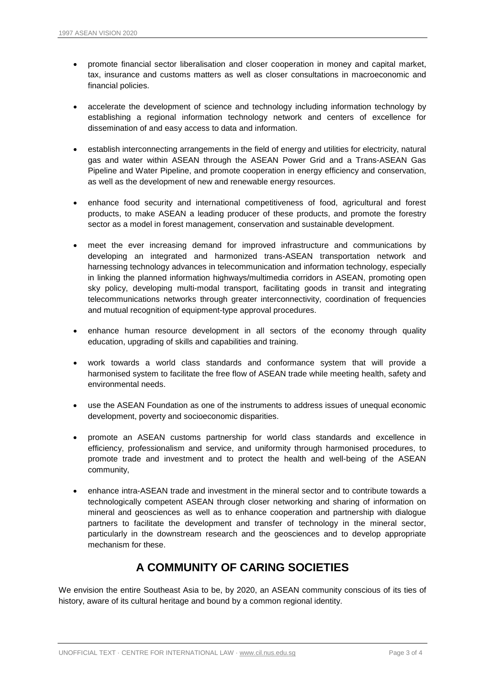- promote financial sector liberalisation and closer cooperation in money and capital market, tax, insurance and customs matters as well as closer consultations in macroeconomic and financial policies.
- accelerate the development of science and technology including information technology by establishing a regional information technology network and centers of excellence for dissemination of and easy access to data and information.
- establish interconnecting arrangements in the field of energy and utilities for electricity, natural gas and water within ASEAN through the ASEAN Power Grid and a Trans-ASEAN Gas Pipeline and Water Pipeline, and promote cooperation in energy efficiency and conservation, as well as the development of new and renewable energy resources.
- enhance food security and international competitiveness of food, agricultural and forest products, to make ASEAN a leading producer of these products, and promote the forestry sector as a model in forest management, conservation and sustainable development.
- meet the ever increasing demand for improved infrastructure and communications by developing an integrated and harmonized trans-ASEAN transportation network and harnessing technology advances in telecommunication and information technology, especially in linking the planned information highways/multimedia corridors in ASEAN, promoting open sky policy, developing multi-modal transport, facilitating goods in transit and integrating telecommunications networks through greater interconnectivity, coordination of frequencies and mutual recognition of equipment-type approval procedures.
- enhance human resource development in all sectors of the economy through quality education, upgrading of skills and capabilities and training.
- work towards a world class standards and conformance system that will provide a harmonised system to facilitate the free flow of ASEAN trade while meeting health, safety and environmental needs.
- use the ASEAN Foundation as one of the instruments to address issues of unequal economic development, poverty and socioeconomic disparities.
- promote an ASEAN customs partnership for world class standards and excellence in efficiency, professionalism and service, and uniformity through harmonised procedures, to promote trade and investment and to protect the health and well-being of the ASEAN community,
- enhance intra-ASEAN trade and investment in the mineral sector and to contribute towards a technologically competent ASEAN through closer networking and sharing of information on mineral and geosciences as well as to enhance cooperation and partnership with dialogue partners to facilitate the development and transfer of technology in the mineral sector, particularly in the downstream research and the geosciences and to develop appropriate mechanism for these.

# **A COMMUNITY OF CARING SOCIETIES**

We envision the entire Southeast Asia to be, by 2020, an ASEAN community conscious of its ties of history, aware of its cultural heritage and bound by a common regional identity.